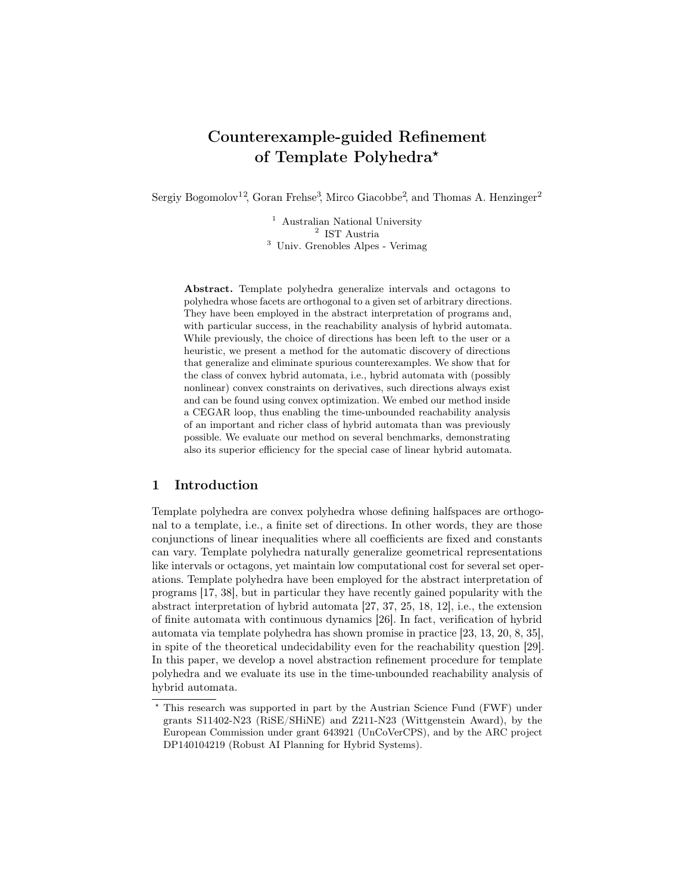# Counterexample-guided Refinement of Template Polyhedra?

Sergiy Bogomolov<sup>12</sup>, Goran Frehse<sup>3</sup>, Mirco Giacobbe<sup>2</sup>, and Thomas A. Henzinger<sup>2</sup>

<sup>1</sup> Australian National University 2 IST Austria <sup>3</sup> Univ. Grenobles Alpes - Verimag

Abstract. Template polyhedra generalize intervals and octagons to polyhedra whose facets are orthogonal to a given set of arbitrary directions. They have been employed in the abstract interpretation of programs and, with particular success, in the reachability analysis of hybrid automata. While previously, the choice of directions has been left to the user or a heuristic, we present a method for the automatic discovery of directions that generalize and eliminate spurious counterexamples. We show that for the class of convex hybrid automata, i.e., hybrid automata with (possibly nonlinear) convex constraints on derivatives, such directions always exist and can be found using convex optimization. We embed our method inside a CEGAR loop, thus enabling the time-unbounded reachability analysis of an important and richer class of hybrid automata than was previously possible. We evaluate our method on several benchmarks, demonstrating also its superior efficiency for the special case of linear hybrid automata.

# 1 Introduction

Template polyhedra are convex polyhedra whose defining halfspaces are orthogonal to a template, i.e., a finite set of directions. In other words, they are those conjunctions of linear inequalities where all coefficients are fixed and constants can vary. Template polyhedra naturally generalize geometrical representations like intervals or octagons, yet maintain low computational cost for several set operations. Template polyhedra have been employed for the abstract interpretation of programs [17, 38], but in particular they have recently gained popularity with the abstract interpretation of hybrid automata [27, 37, 25, 18, 12], i.e., the extension of finite automata with continuous dynamics [26]. In fact, verification of hybrid automata via template polyhedra has shown promise in practice [23, 13, 20, 8, 35], in spite of the theoretical undecidability even for the reachability question [29]. In this paper, we develop a novel abstraction refinement procedure for template polyhedra and we evaluate its use in the time-unbounded reachability analysis of hybrid automata.

<sup>?</sup> This research was supported in part by the Austrian Science Fund (FWF) under grants S11402-N23 (RiSE/SHiNE) and Z211-N23 (Wittgenstein Award), by the European Commission under grant 643921 (UnCoVerCPS), and by the ARC project DP140104219 (Robust AI Planning for Hybrid Systems).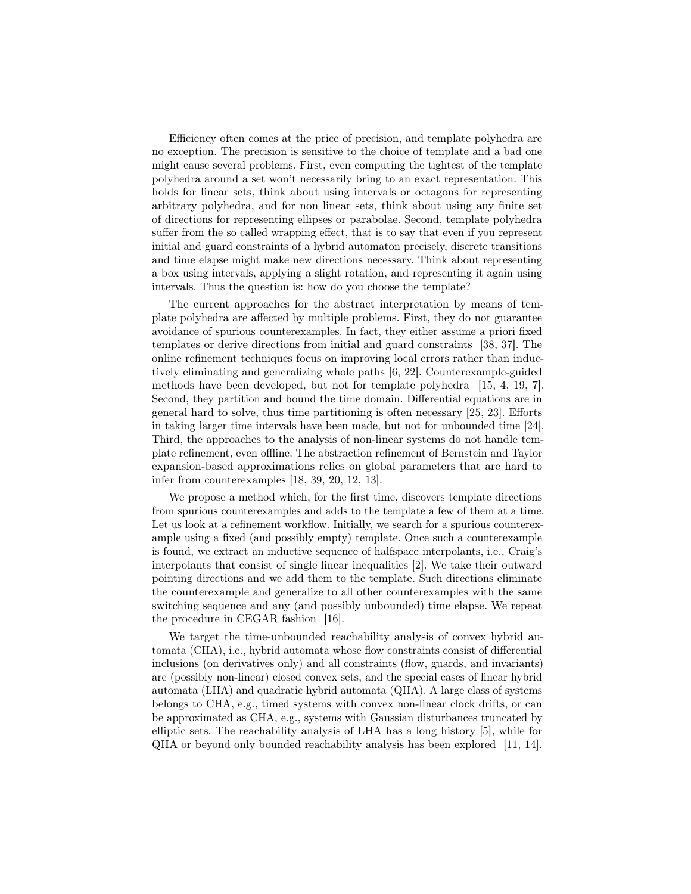Efficiency often comes at the price of precision, and template polyhedra are no exception. The precision is sensitive to the choice of template and a bad one might cause several problems. First, even computing the tightest of the template polyhedra around a set won't necessarily bring to an exact representation. This holds for linear sets, think about using intervals or octagons for representing arbitrary polyhedra, and for non linear sets, think about using any finite set of directions for representing ellipses or parabolae. Second, template polyhedra suffer from the so called wrapping effect, that is to say that even if you represent initial and guard constraints of a hybrid automaton precisely, discrete transitions and time elapse might make new directions necessary. Think about representing a box using intervals, applying a slight rotation, and representing it again using intervals. Thus the question is: how do you choose the template?

The current approaches for the abstract interpretation by means of template polyhedra are affected by multiple problems. First, they do not guarantee avoidance of spurious counterexamples. In fact, they either assume a priori fixed templates or derive directions from initial and guard constraints [38, 37]. The online refinement techniques focus on improving local errors rather than inductively eliminating and generalizing whole paths [6, 22]. Counterexample-guided methods have been developed, but not for template polyhedra [15, 4, 19, 7]. Second, they partition and bound the time domain. Differential equations are in general hard to solve, thus time partitioning is often necessary [25, 23]. Efforts in taking larger time intervals have been made, but not for unbounded time [24]. Third, the approaches to the analysis of non-linear systems do not handle template refinement, even offline. The abstraction refinement of Bernstein and Taylor expansion-based approximations relies on global parameters that are hard to infer from counterexamples [18, 39, 20, 12, 13].

We propose a method which, for the first time, discovers template directions from spurious counterexamples and adds to the template a few of them at a time. Let us look at a refinement workflow. Initially, we search for a spurious counterexample using a fixed (and possibly empty) template. Once such a counterexample is found, we extract an inductive sequence of halfspace interpolants, i.e., Craig's interpolants that consist of single linear inequalities [2]. We take their outward pointing directions and we add them to the template. Such directions eliminate the counterexample and generalize to all other counterexamples with the same switching sequence and any (and possibly unbounded) time elapse. We repeat the procedure in CEGAR fashion [16].

We target the time-unbounded reachability analysis of convex hybrid automata (CHA), i.e., hybrid automata whose flow constraints consist of differential inclusions (on derivatives only) and all constraints (flow, guards, and invariants) are (possibly non-linear) closed convex sets, and the special cases of linear hybrid automata (LHA) and quadratic hybrid automata (QHA). A large class of systems belongs to CHA, e.g., timed systems with convex non-linear clock drifts, or can be approximated as CHA, e.g., systems with Gaussian disturbances truncated by elliptic sets. The reachability analysis of LHA has a long history [5], while for QHA or beyond only bounded reachability analysis has been explored [11, 14].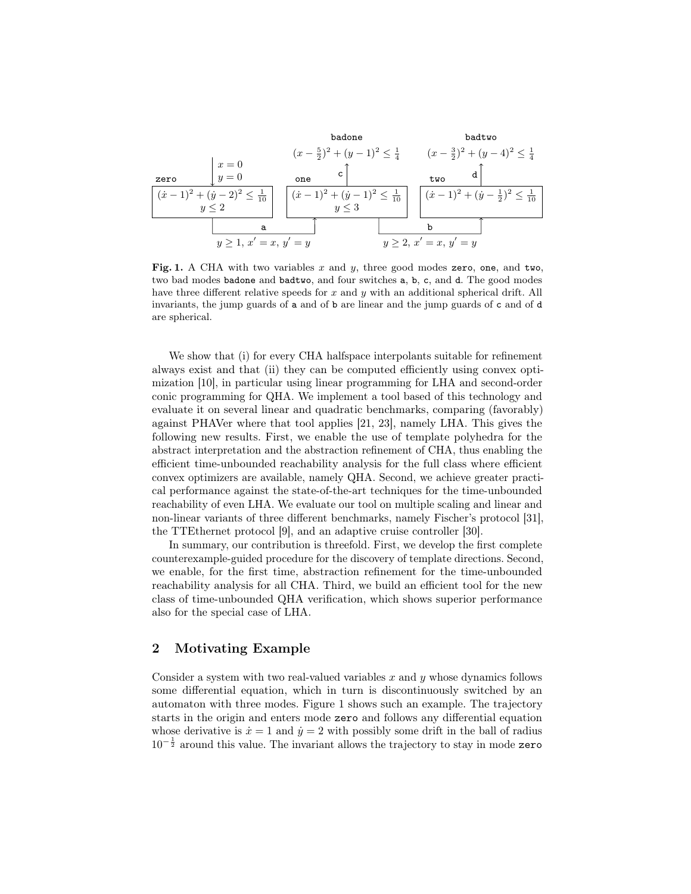$$
\begin{array}{c|c|c|c|c} \text{badone} & \text{badtwo} \\ \hline & (x-\frac{5}{2})^2+(y-1)^2 \leq \frac{1}{4} & (x-\frac{3}{2})^2+(y-4)^2 \leq \frac{1}{4} \\ \hline & (x-1)^2+(y-2)^2 \leq \frac{1}{10} & \text{one} & \text{two} & \text{d} \\ \hline & (x-1)^2+(y-2)^2 \leq \frac{1}{10} & (x-1)^2+(y-1)^2 \leq \frac{1}{10} & (x-1)^2+(y-\frac{1}{2})^2 \leq \frac{1}{10} \\ & (x-1)^2+(y-\frac{1}{2})^2 \leq \frac{1}{10} & (x-1)^2+(y-\frac{1}{2})^2 \leq \frac{1}{10} \\ & (x-1)^2+(y-\frac{1}{2})^2 \leq \frac{1}{10} & (x-1)^2+(y-\frac{1}{2})^2 \leq \frac{1}{10} \\ & (x-1)^2+(y-\frac{1}{2})^2 \leq \frac{1}{10} & (x-1)^2+(y-\frac{1}{2})^2 \leq \frac{1}{10} \\ & (x-1)^2+(y-\frac{1}{2})^2 \leq \frac{1}{10} & (x-1)^2+(y-\frac{1}{2})^2 \leq \frac{1}{10} \\ & (x-1)^2+(y-\frac{1}{2})^2 \leq \frac{1}{10} & (x-1)^2+(y-\frac{1}{2})^2 \leq \frac{1}{10} \\ & (x-1)^2+(y-\frac{1}{2})^2 \leq \frac{1}{10} & (x-1)^2+(y-\frac{1}{2})^2 \leq \frac{1}{10} \\ & (x-1)^2+(y-\frac{1}{2})^2 \leq \frac{1}{10} & (x-1)^2+(y-\frac{1}{2})^2 \leq \frac{1}{10} \\ & (x-1)^2+(y-\frac{1}{2})^2 \leq \frac{1}{10} & (x-1)^2+(y-\frac{1}{2})^2 \leq \frac{1}{10} \\ & (x-1)^2+(y-\frac{1}{2})^2 \leq \frac{1}{10} & (x-1)^2+(y-\frac{1}{2})^2 \leq \frac{1}{10} \\ & (x-1)^2+(y-\frac{1
$$

Fig. 1. A CHA with two variables  $x$  and  $y$ , three good modes zero, one, and two, two bad modes badone and badtwo, and four switches a, b, c, and d. The good modes have three different relative speeds for x and y with an additional spherical drift. All invariants, the jump guards of a and of b are linear and the jump guards of c and of d are spherical.

We show that (i) for every CHA halfspace interpolants suitable for refinement always exist and that (ii) they can be computed efficiently using convex optimization [10], in particular using linear programming for LHA and second-order conic programming for QHA. We implement a tool based of this technology and evaluate it on several linear and quadratic benchmarks, comparing (favorably) against PHAVer where that tool applies [21, 23], namely LHA. This gives the following new results. First, we enable the use of template polyhedra for the abstract interpretation and the abstraction refinement of CHA, thus enabling the efficient time-unbounded reachability analysis for the full class where efficient convex optimizers are available, namely QHA. Second, we achieve greater practical performance against the state-of-the-art techniques for the time-unbounded reachability of even LHA. We evaluate our tool on multiple scaling and linear and non-linear variants of three different benchmarks, namely Fischer's protocol [31], the TTEthernet protocol [9], and an adaptive cruise controller [30].

In summary, our contribution is threefold. First, we develop the first complete counterexample-guided procedure for the discovery of template directions. Second, we enable, for the first time, abstraction refinement for the time-unbounded reachability analysis for all CHA. Third, we build an efficient tool for the new class of time-unbounded QHA verification, which shows superior performance also for the special case of LHA.

# 2 Motivating Example

Consider a system with two real-valued variables  $x$  and  $y$  whose dynamics follows some differential equation, which in turn is discontinuously switched by an automaton with three modes. Figure 1 shows such an example. The trajectory starts in the origin and enters mode zero and follows any differential equation whose derivative is  $\dot{x} = 1$  and  $\dot{y} = 2$  with possibly some drift in the ball of radius  $10^{-\frac{1}{2}}$  around this value. The invariant allows the trajectory to stay in mode zero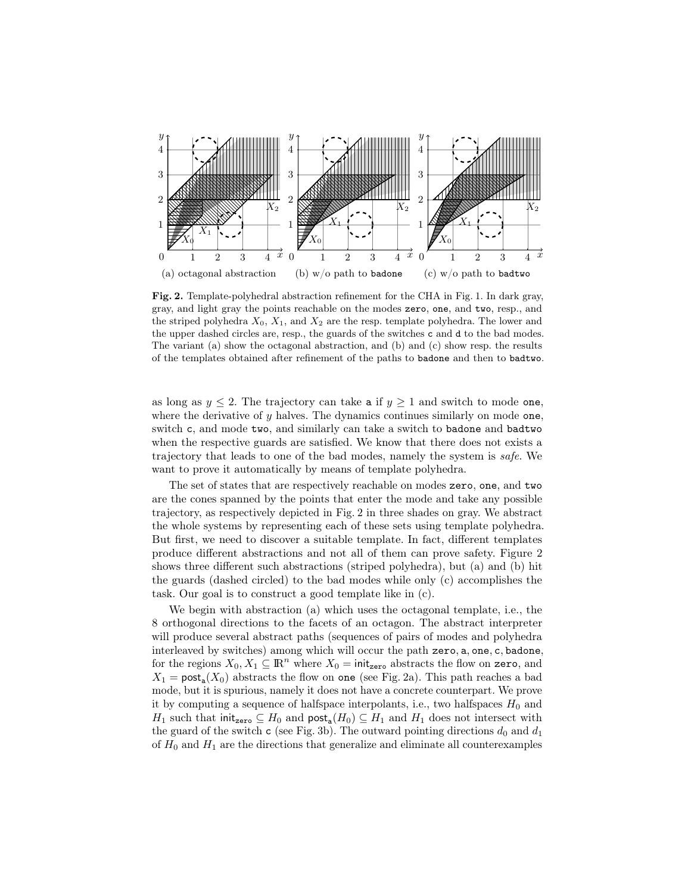

Fig. 2. Template-polyhedral abstraction refinement for the CHA in Fig. 1. In dark gray, gray, and light gray the points reachable on the modes zero, one, and two, resp., and the striped polyhedra  $X_0$ ,  $X_1$ , and  $X_2$  are the resp. template polyhedra. The lower and the upper dashed circles are, resp., the guards of the switches c and d to the bad modes. The variant (a) show the octagonal abstraction, and (b) and (c) show resp. the results of the templates obtained after refinement of the paths to badone and then to badtwo.

as long as  $y \leq 2$ . The trajectory can take **a** if  $y \geq 1$  and switch to mode one, where the derivative of  $y$  halves. The dynamics continues similarly on mode one, switch c, and mode two, and similarly can take a switch to badone and badtwo when the respective guards are satisfied. We know that there does not exists a trajectory that leads to one of the bad modes, namely the system is safe. We want to prove it automatically by means of template polyhedra.

The set of states that are respectively reachable on modes zero, one, and two are the cones spanned by the points that enter the mode and take any possible trajectory, as respectively depicted in Fig. 2 in three shades on gray. We abstract the whole systems by representing each of these sets using template polyhedra. But first, we need to discover a suitable template. In fact, different templates produce different abstractions and not all of them can prove safety. Figure 2 shows three different such abstractions (striped polyhedra), but (a) and (b) hit the guards (dashed circled) to the bad modes while only (c) accomplishes the task. Our goal is to construct a good template like in (c).

We begin with abstraction (a) which uses the octagonal template, i.e., the 8 orthogonal directions to the facets of an octagon. The abstract interpreter will produce several abstract paths (sequences of pairs of modes and polyhedra interleaved by switches) among which will occur the path zero, a, one, c, badone, for the regions  $X_0, X_1 \subseteq \mathbb{R}^n$  where  $X_0 = \text{init}_{\text{zero}}$  abstracts the flow on zero, and  $X_1 = \text{post}_a(X_0)$  abstracts the flow on one (see Fig. 2a). This path reaches a bad mode, but it is spurious, namely it does not have a concrete counterpart. We prove it by computing a sequence of halfspace interpolants, i.e., two halfspaces  $H_0$  and  $H_1$  such that  $\text{init}_{\text{zero}} \subseteq H_0$  and  $\text{post}_{a}(H_0) \subseteq H_1$  and  $H_1$  does not intersect with the guard of the switch c (see Fig. 3b). The outward pointing directions  $d_0$  and  $d_1$ of  $H_0$  and  $H_1$  are the directions that generalize and eliminate all counterexamples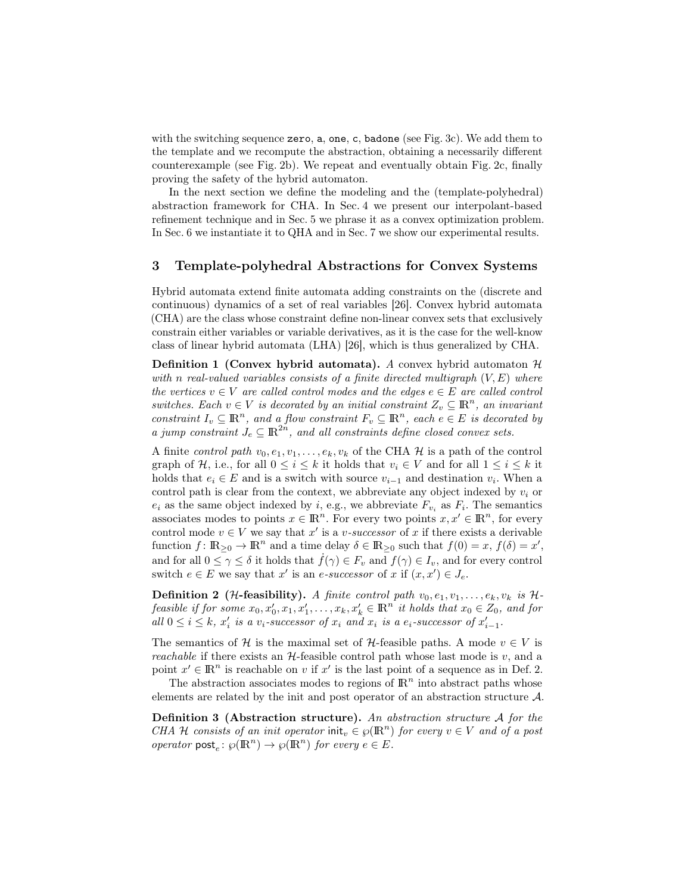with the switching sequence zero, a, one, c, badone (see Fig. 3c). We add them to the template and we recompute the abstraction, obtaining a necessarily different counterexample (see Fig. 2b). We repeat and eventually obtain Fig. 2c, finally proving the safety of the hybrid automaton.

In the next section we define the modeling and the (template-polyhedral) abstraction framework for CHA. In Sec. 4 we present our interpolant-based refinement technique and in Sec. 5 we phrase it as a convex optimization problem. In Sec. 6 we instantiate it to QHA and in Sec. 7 we show our experimental results.

### 3 Template-polyhedral Abstractions for Convex Systems

Hybrid automata extend finite automata adding constraints on the (discrete and continuous) dynamics of a set of real variables [26]. Convex hybrid automata (CHA) are the class whose constraint define non-linear convex sets that exclusively constrain either variables or variable derivatives, as it is the case for the well-know class of linear hybrid automata (LHA) [26], which is thus generalized by CHA.

**Definition 1 (Convex hybrid automata).** A convex hybrid automaton  $H$ with n real-valued variables consists of a finite directed multigraph  $(V, E)$  where the vertices  $v \in V$  are called control modes and the edges  $e \in E$  are called control switches. Each  $v \in V$  is decorated by an initial constraint  $Z_v \subseteq \mathbb{R}^n$ , an invariant constraint  $I_v \subseteq \mathbb{R}^n$ , and a flow constraint  $F_v \subseteq \mathbb{R}^n$ , each  $e \in E$  is decorated by a jump constraint  $J_e \subseteq \mathbb{R}^{2n}$ , and all constraints define closed convex sets.

A finite control path  $v_0, e_1, v_1, \ldots, e_k, v_k$  of the CHA  $\mathcal H$  is a path of the control graph of H, i.e., for all  $0 \leq i \leq k$  it holds that  $v_i \in V$  and for all  $1 \leq i \leq k$  it holds that  $e_i \in E$  and is a switch with source  $v_{i-1}$  and destination  $v_i$ . When a control path is clear from the context, we abbreviate any object indexed by  $v_i$  or  $e_i$  as the same object indexed by *i*, e.g., we abbreviate  $F_{v_i}$  as  $F_i$ . The semantics associates modes to points  $x \in \mathbb{R}^n$ . For every two points  $x, x' \in \mathbb{R}^n$ , for every control mode  $v \in V$  we say that x' is a v-successor of x if there exists a derivable function  $f: \mathbb{R}_{\geq 0} \to \mathbb{R}^n$  and a time delay  $\delta \in \mathbb{R}_{\geq 0}$  such that  $f(0) = x, f(\delta) = x'$ , and for all  $0 \leq \gamma \leq \delta$  it holds that  $\dot{f}(\gamma) \in F_v$  and  $f(\gamma) \in I_v$ , and for every control switch  $e \in E$  we say that  $x'$  is an e-successor of x if  $(x, x') \in J_e$ .

**Definition 2** (*H*-feasibility). A finite control path  $v_0, e_1, v_1, \ldots, e_k, v_k$  is *H*feasible if for some  $x_0, x'_0, x_1, x'_1, \ldots, x_k, x'_k \in \mathbb{R}^n$  it holds that  $x_0 \in Z_0$ , and for all  $0 \leq i \leq k$ ,  $x'_i$  is a  $v_i$ -successor of  $x_i$  and  $x_i$  is a  $e_i$ -successor of  $x'_{i-1}$ .

The semantics of H is the maximal set of H-feasible paths. A mode  $v \in V$  is reachable if there exists an  $H$ -feasible control path whose last mode is v, and a point  $x' \in \mathbb{R}^n$  is reachable on v if x' is the last point of a sequence as in Def. 2.

The abstraction associates modes to regions of  $\mathbb{R}^n$  into abstract paths whose elements are related by the init and post operator of an abstraction structure A.

**Definition 3** (Abstraction structure). An abstraction structure A for the CHA H consists of an init operator  $\text{init}_{v} \in \mathcal{P}(\mathbb{R}^{n})$  for every  $v \in V$  and of a post operator  $\text{post}_e \colon \varphi(\mathbb{R}^n) \to \varphi(\mathbb{R}^n)$  for every  $e \in E$ .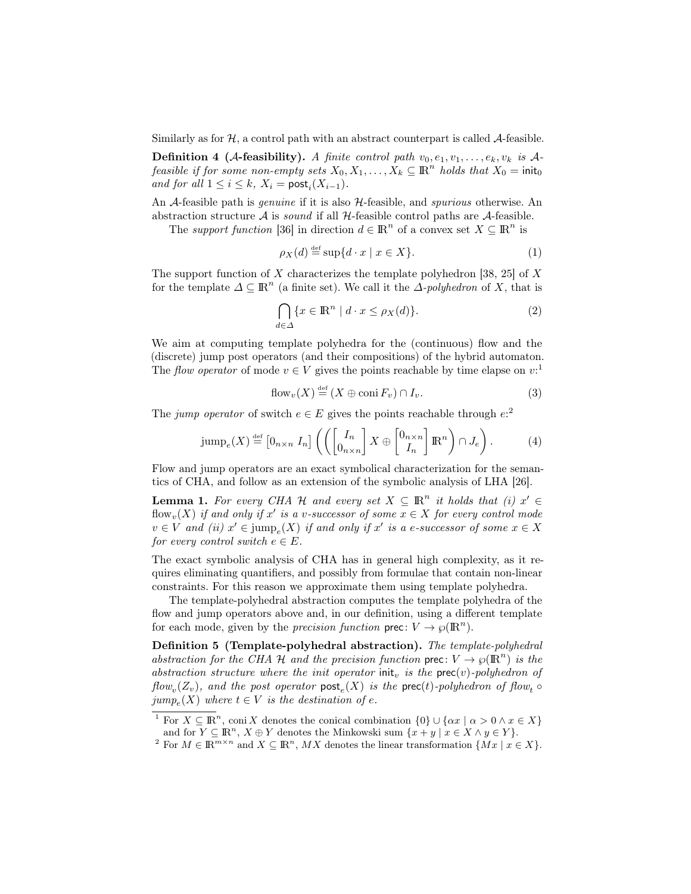Similarly as for  $H$ , a control path with an abstract counterpart is called  $A$ -feasible.

**Definition 4 (A-feasibility).** A finite control path  $v_0, e_1, v_1, \ldots, e_k, v_k$  is Afeasible if for some non-empty sets  $X_0, X_1, \ldots, X_k \subseteq \mathbb{R}^n$  holds that  $X_0 = \text{init}_0$ and for all  $1 \leq i \leq k$ ,  $X_i = \text{post}_i(X_{i-1})$ .

An A-feasible path is *genuine* if it is also  $H$ -feasible, and *spurious* otherwise. An abstraction structure  $A$  is *sound* if all  $H$ -feasible control paths are  $A$ -feasible.

The support function [36] in direction  $d \in \mathbb{R}^n$  of a convex set  $X \subseteq \mathbb{R}^n$  is

$$
\rho_X(d) \stackrel{\text{def}}{=} \sup\{d \cdot x \mid x \in X\}. \tag{1}
$$

The support function of X characterizes the template polyhedron [38, 25] of X for the template  $\Delta \subseteq \mathbb{R}^n$  (a finite set). We call it the  $\Delta$ -polyhedron of X, that is

$$
\bigcap_{d \in \Delta} \{ x \in \mathbb{R}^n \mid d \cdot x \le \rho_X(d) \}. \tag{2}
$$

We aim at computing template polyhedra for the (continuous) flow and the (discrete) jump post operators (and their compositions) of the hybrid automaton. The flow operator of mode  $v \in V$  gives the points reachable by time elapse on  $v:$ <sup>1</sup>

$$
\text{flow}_v(X) \stackrel{\text{def}}{=} (X \oplus \text{coni } F_v) \cap I_v. \tag{3}
$$

The jump operator of switch  $e \in E$  gives the points reachable through  $e^{i}$ .

$$
\text{jump}_e(X) \stackrel{\text{def}}{=} \left[0_{n \times n} I_n\right] \left( \left( \begin{bmatrix} I_n \\ 0_{n \times n} \end{bmatrix} X \oplus \begin{bmatrix} 0_{n \times n} \\ I_n \end{bmatrix} \mathbb{R}^n \right) \cap J_e \right). \tag{4}
$$

Flow and jump operators are an exact symbolical characterization for the semantics of CHA, and follow as an extension of the symbolic analysis of LHA [26].

**Lemma 1.** For every CHA H and every set  $X \subseteq \mathbb{R}^n$  it holds that (i)  $x' \in$  $\text{flow}_v(X)$  if and only if  $x'$  is a v-successor of some  $x \in X$  for every control mode  $v \in V$  and (ii)  $x' \in \text{jump}_e(X)$  if and only if  $x'$  is a e-successor of some  $x \in X$ for every control switch  $e \in E$ .

The exact symbolic analysis of CHA has in general high complexity, as it requires eliminating quantifiers, and possibly from formulae that contain non-linear constraints. For this reason we approximate them using template polyhedra.

The template-polyhedral abstraction computes the template polyhedra of the flow and jump operators above and, in our definition, using a different template for each mode, given by the *precision function*  $\mathsf{prec}: V \to \wp(\mathbb{R}^n)$ .

Definition 5 (Template-polyhedral abstraction). The template-polyhedral abstraction for the CHA H and the precision function prec:  $V \to \varphi(\mathbb{R}^n)$  is the abstraction structure where the init operator init<sub>n</sub> is the  $prec(v)$ -polyhedron of  $\mathit{flow}_v(Z_v)$ , and the post operator  $\mathsf{post}_e(X)$  is the  $\mathsf{prec}(t)$ -polyhedron of  $\mathit{flow}_t \circ$  $jump_e(X)$  where  $t \in V$  is the destination of e.

<sup>&</sup>lt;sup>1</sup> For  $X \subseteq \mathbb{R}^n$ , coni X denotes the conical combination  $\{0\} \cup \{\alpha x \mid \alpha > 0 \land x \in X\}$ and for  $Y \subseteq \mathbb{R}^n$ ,  $X \oplus Y$  denotes the Minkowski sum  $\{x + y \mid x \in X \land y \in Y\}$ .

<sup>&</sup>lt;sup>2</sup> For  $M \in \mathbb{R}^{m \times n}$  and  $X \subseteq \mathbb{R}^n$ ,  $MX$  denotes the linear transformation  $\{Mx \mid x \in X\}$ .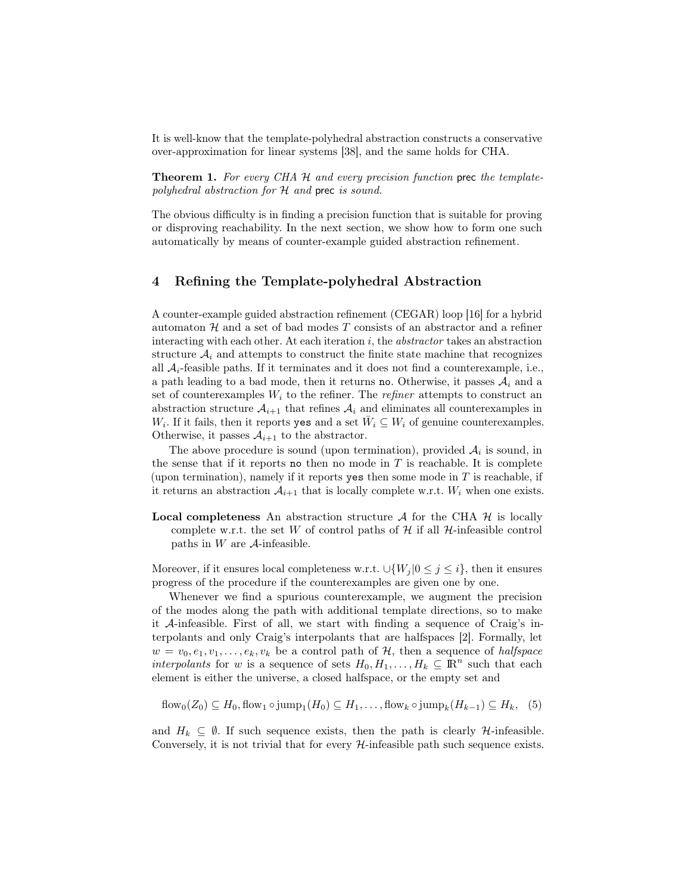It is well-know that the template-polyhedral abstraction constructs a conservative over-approximation for linear systems [38], and the same holds for CHA.

Theorem 1. For every CHA H and every precision function prec the templatepolyhedral abstraction for H and prec is sound.

The obvious difficulty is in finding a precision function that is suitable for proving or disproving reachability. In the next section, we show how to form one such automatically by means of counter-example guided abstraction refinement.

# 4 Refining the Template-polyhedral Abstraction

A counter-example guided abstraction refinement (CEGAR) loop [16] for a hybrid automaton  $H$  and a set of bad modes  $T$  consists of an abstractor and a refiner interacting with each other. At each iteration  $i$ , the *abstractor* takes an abstraction structure  $A_i$  and attempts to construct the finite state machine that recognizes all  $\mathcal{A}_i$ -feasible paths. If it terminates and it does not find a counterexample, i.e., a path leading to a bad mode, then it returns no. Otherwise, it passes  $A_i$  and a set of counterexamples  $W_i$  to the refiner. The *refiner* attempts to construct an abstraction structure  $A_{i+1}$  that refines  $A_i$  and eliminates all counterexamples in  $W_i$ . If it fails, then it reports yes and a set  $\overline{W}_i \subseteq W_i$  of genuine counterexamples. Otherwise, it passes  $A_{i+1}$  to the abstractor.

The above procedure is sound (upon termination), provided  $A_i$  is sound, in the sense that if it reports no then no mode in  $T$  is reachable. It is complete (upon termination), namely if it reports yes then some mode in  $T$  is reachable, if it returns an abstraction  $\mathcal{A}_{i+1}$  that is locally complete w.r.t.  $W_i$  when one exists.

**Local completeness** An abstraction structure  $A$  for the CHA  $H$  is locally complete w.r.t. the set W of control paths of  $\mathcal H$  if all  $\mathcal H$ -infeasible control paths in  $W$  are  $A$ -infeasible.

Moreover, if it ensures local completeness w.r.t.  $\cup \{W_i | 0 \leq j \leq i\}$ , then it ensures progress of the procedure if the counterexamples are given one by one.

Whenever we find a spurious counterexample, we augment the precision of the modes along the path with additional template directions, so to make it A-infeasible. First of all, we start with finding a sequence of Craig's interpolants and only Craig's interpolants that are halfspaces [2]. Formally, let  $w = v_0, e_1, v_1, \ldots, e_k, v_k$  be a control path of H, then a sequence of halfspace *interpolants* for w is a sequence of sets  $H_0, H_1, \ldots, H_k \subseteq \mathbb{R}^n$  such that each element is either the universe, a closed halfspace, or the empty set and

$$
\text{flow}_0(Z_0) \subseteq H_0, \text{flow}_1 \circ \text{jump}_1(H_0) \subseteq H_1, \dots, \text{flow}_k \circ \text{jump}_k(H_{k-1}) \subseteq H_k, \tag{5}
$$

and  $H_k \subseteq \emptyset$ . If such sequence exists, then the path is clearly  $\mathcal{H}\text{-infeasible}$ . Conversely, it is not trivial that for every  $H$ -infeasible path such sequence exists.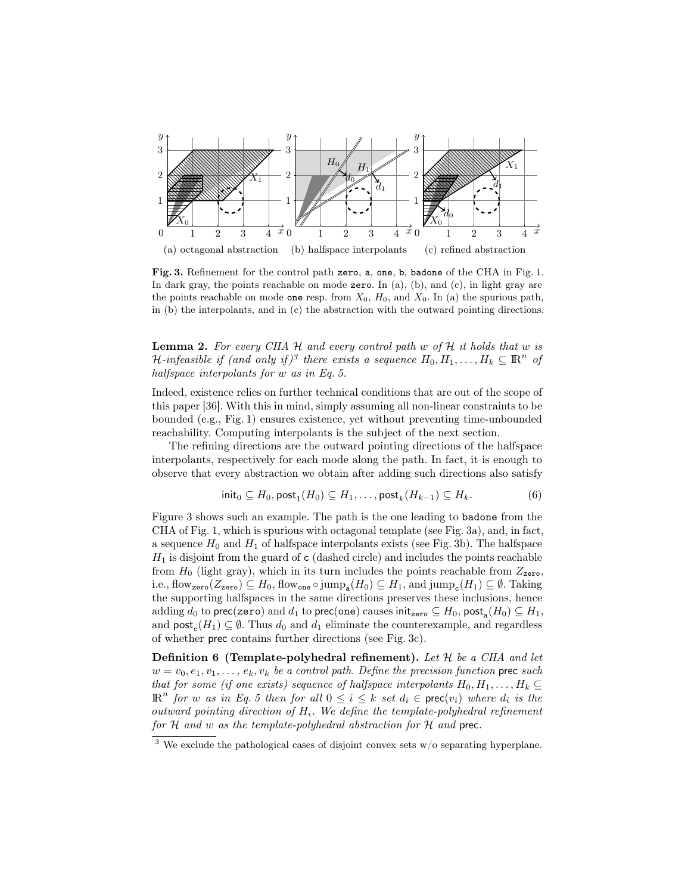

Fig. 3. Refinement for the control path zero, a, one, b, badone of the CHA in Fig. 1. In dark gray, the points reachable on mode zero. In  $(a)$ ,  $(b)$ , and  $(c)$ , in light gray are the points reachable on mode one resp. from  $X_0$ ,  $H_0$ , and  $X_0$ . In (a) the spurious path, in (b) the interpolants, and in (c) the abstraction with the outward pointing directions.

**Lemma 2.** For every CHA  $H$  and every control path w of  $H$  it holds that w is H-infeasible if (and only if)<sup>3</sup> there exists a sequence  $H_0, H_1, \ldots, H_k \subseteq \mathbb{R}^n$  of halfspace interpolants for w as in Eq. 5.

Indeed, existence relies on further technical conditions that are out of the scope of this paper [36]. With this in mind, simply assuming all non-linear constraints to be bounded (e.g., Fig. 1) ensures existence, yet without preventing time-unbounded reachability. Computing interpolants is the subject of the next section.

The refining directions are the outward pointing directions of the halfspace interpolants, respectively for each mode along the path. In fact, it is enough to observe that every abstraction we obtain after adding such directions also satisfy

$$
init_0 \subseteq H_0, \mathsf{post}_1(H_0) \subseteq H_1, \dots, \mathsf{post}_k(H_{k-1}) \subseteq H_k. \tag{6}
$$

Figure 3 shows such an example. The path is the one leading to badone from the CHA of Fig. 1, which is spurious with octagonal template (see Fig. 3a), and, in fact, a sequence  $H_0$  and  $H_1$  of halfspace interpolants exists (see Fig. 3b). The halfspace  $H_1$  is disjoint from the guard of c (dashed circle) and includes the points reachable from  $H_0$  (light gray), which in its turn includes the points reachable from  $Z_{\text{zero}}$ , i.e., flow<sub>zero</sub>( $Z_{\texttt{zero}}$ )  $\subseteq H_0$ , flow<sub>one</sub>  $\circ$  jump<sub>a</sub>( $H_0$ )  $\subseteq H_1$ , and jump<sub>c</sub>( $H_1$ )  $\subseteq \emptyset$ . Taking the supporting halfspaces in the same directions preserves these inclusions, hence adding  $d_0$  to prec(zero) and  $d_1$  to prec(one) causes init<sub>zero</sub>  $\subseteq$   $H_0$ , post<sub>a</sub> $(H_0)$   $\subseteq$   $H_1,$ and  $\text{post}_{\text{c}}(H_1) \subseteq \emptyset$ . Thus  $d_0$  and  $d_1$  eliminate the counterexample, and regardless of whether prec contains further directions (see Fig. 3c).

**Definition 6 (Template-polyhedral refinement).** Let  $H$  be a CHA and let  $w = v_0, e_1, v_1, \ldots, e_k, v_k$  be a control path. Define the precision function prec such that for some (if one exists) sequence of halfspace interpolants  $H_0, H_1, \ldots, H_k \subseteq$  $\mathbb{R}^n$  for w as in Eq. 5 then for all  $0 \leq i \leq k$  set  $d_i \in \text{prec}(v_i)$  where  $d_i$  is the outward pointing direction of  $H_i$ . We define the template-polyhedral refinement for  $H$  and  $w$  as the template-polyhedral abstraction for  $H$  and prec.

<sup>&</sup>lt;sup>3</sup> We exclude the pathological cases of disjoint convex sets  $w/o$  separating hyperplane.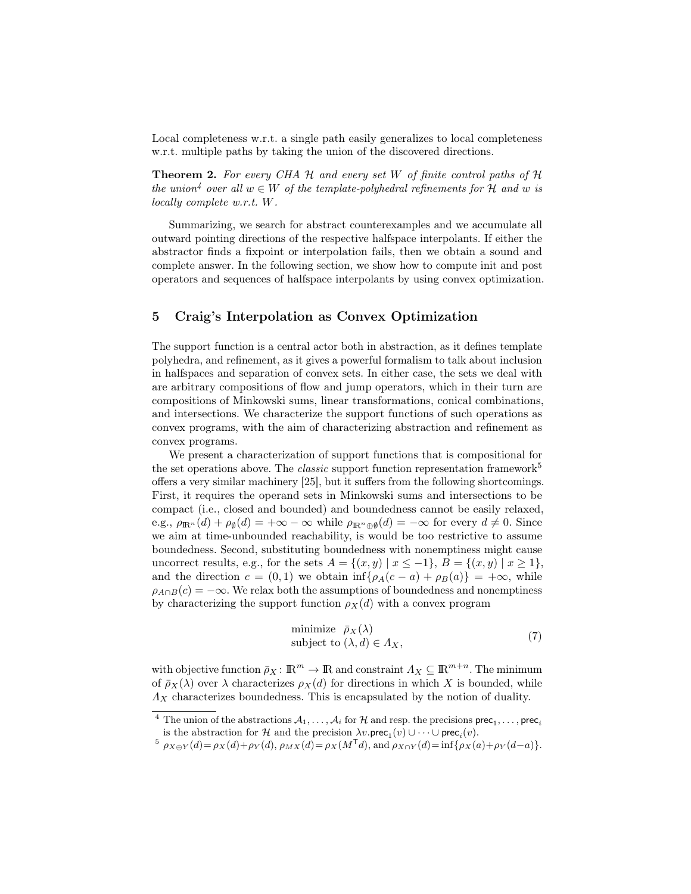Local completeness w.r.t. a single path easily generalizes to local completeness w.r.t. multiple paths by taking the union of the discovered directions.

**Theorem 2.** For every CHA  $H$  and every set W of finite control paths of  $H$ the union<sup>4</sup> over all  $w \in W$  of the template-polyhedral refinements for H and w is locally complete w.r.t. W.

Summarizing, we search for abstract counterexamples and we accumulate all outward pointing directions of the respective halfspace interpolants. If either the abstractor finds a fixpoint or interpolation fails, then we obtain a sound and complete answer. In the following section, we show how to compute init and post operators and sequences of halfspace interpolants by using convex optimization.

# 5 Craig's Interpolation as Convex Optimization

The support function is a central actor both in abstraction, as it defines template polyhedra, and refinement, as it gives a powerful formalism to talk about inclusion in halfspaces and separation of convex sets. In either case, the sets we deal with are arbitrary compositions of flow and jump operators, which in their turn are compositions of Minkowski sums, linear transformations, conical combinations, and intersections. We characterize the support functions of such operations as convex programs, with the aim of characterizing abstraction and refinement as convex programs.

We present a characterization of support functions that is compositional for the set operations above. The *classic* support function representation framework<sup>5</sup> offers a very similar machinery [25], but it suffers from the following shortcomings. First, it requires the operand sets in Minkowski sums and intersections to be compact (i.e., closed and bounded) and boundedness cannot be easily relaxed, e.g.,  $\rho_{\mathbb{R}^n}(d) + \rho_{\emptyset}(d) = +\infty - \infty$  while  $\rho_{\mathbb{R}^n \oplus \emptyset}(d) = -\infty$  for every  $d \neq 0$ . Since we aim at time-unbounded reachability, is would be too restrictive to assume boundedness. Second, substituting boundedness with nonemptiness might cause uncorrect results, e.g., for the sets  $A = \{(x, y) | x \le -1\}$ ,  $B = \{(x, y) | x \ge 1\}$ , and the direction  $c = (0, 1)$  we obtain  $\inf \{ \rho_A(c - a) + \rho_B(a) \} = +\infty$ , while  $\rho_{A\cap B}(c) = -\infty$ . We relax both the assumptions of boundedness and nonemptiness by characterizing the support function  $\rho_X(d)$  with a convex program

minimize 
$$
\bar{\rho}_X(\lambda)
$$
  
subject to  $(\lambda, d) \in A_X$ ,  $(7)$ 

with objective function  $\bar{\rho}_X \colon \mathbb{R}^m \to \mathbb{R}$  and constraint  $\Lambda_X \subseteq \mathbb{R}^{m+n}$ . The minimum of  $\bar{p}_X(\lambda)$  over  $\lambda$  characterizes  $\rho_X(d)$  for directions in which X is bounded, while  $\Lambda_X$  characterizes boundedness. This is encapsulated by the notion of duality.

<sup>&</sup>lt;sup>4</sup> The union of the abstractions  $A_1, \ldots, A_i$  for H and resp. the precisions  $\mathsf{prec}_1, \ldots, \mathsf{prec}_i$ is the abstraction for  $\mathcal H$  and the precision  $\lambda v.\mathsf{prec}_1(v) \cup \cdots \cup \mathsf{prec}_i(v)$ .

<sup>&</sup>lt;sup>5</sup>  $\rho_{X\oplus Y}(d) = \rho_X(d) + \rho_Y(d)$ ,  $\rho_{MX}(d) = \rho_X(M^{\mathsf{T}}d)$ , and  $\rho_{X\cap Y}(d) = \inf\{\rho_X(a) + \rho_Y(d-a)\}.$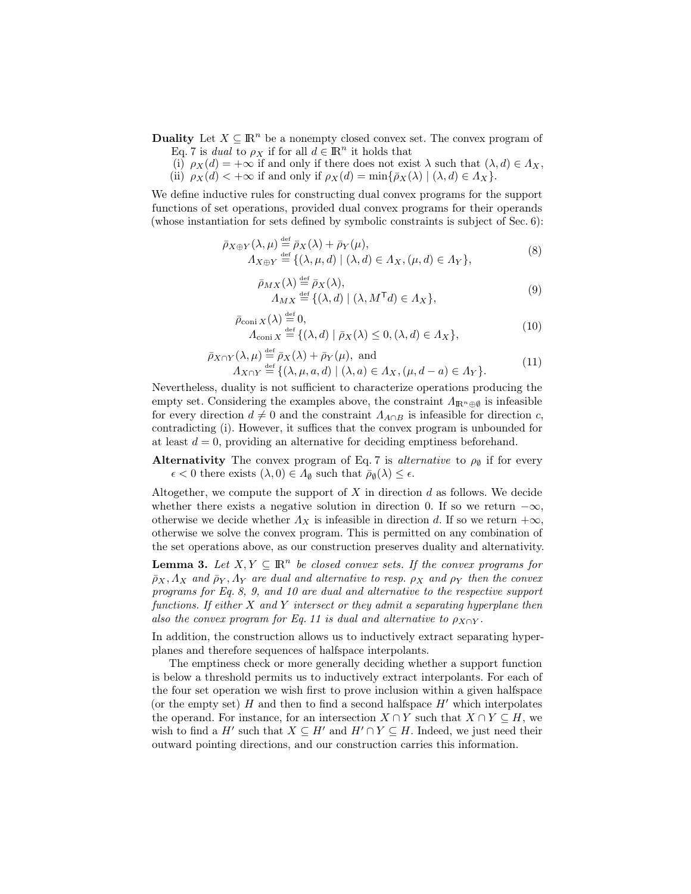**Duality** Let  $X \subseteq \mathbb{R}^n$  be a nonempty closed convex set. The convex program of Eq. 7 is *dual* to  $\rho_X$  if for all  $d \in \mathbb{R}^n$  it holds that

(i)  $\rho_X(d) = +\infty$  if and only if there does not exist  $\lambda$  such that  $(\lambda, d) \in \Lambda_X$ , (ii)  $\rho_X(d) < +\infty$  if and only if  $\rho_X(d) = \min\{\bar{\rho}_X(\lambda) \mid (\lambda, d) \in A_X\}.$ 

We define inductive rules for constructing dual convex programs for the support functions of set operations, provided dual convex programs for their operands (whose instantiation for sets defined by symbolic constraints is subject of Sec. 6):

$$
\bar{\rho}_{X \oplus Y}(\lambda, \mu) \stackrel{\text{def}}{=} \bar{\rho}_X(\lambda) + \bar{\rho}_Y(\mu), \Lambda_{X \oplus Y} \stackrel{\text{def}}{=} \{(\lambda, \mu, d) \mid (\lambda, d) \in \Lambda_X, (\mu, d) \in \Lambda_Y\},
$$
\n(8)

$$
\bar{\rho}_{MX}(\lambda) \stackrel{\text{def}}{=} \bar{\rho}_X(\lambda), \Lambda_{MX} \stackrel{\text{def}}{=} \{(\lambda, d) \mid (\lambda, M^{\mathsf{T}}d) \in \Lambda_X\},
$$
\n(9)

$$
\bar{\rho}_{\text{coni X}}(\lambda) \stackrel{\text{def}}{=} 0,
$$
\n
$$
\Lambda_{\text{coni X}} \stackrel{\text{def}}{=} \{ (\lambda, d) \mid \bar{\rho}_X(\lambda) \le 0, (\lambda, d) \in \Lambda_X \},
$$
\n(10)

$$
\bar{\rho}_{X \cap Y}(\lambda, \mu) \stackrel{\text{def}}{=} \bar{\rho}_X(\lambda) + \bar{\rho}_Y(\mu), \text{ and} \Lambda_{X \cap Y} \stackrel{\text{def}}{=} \{ (\lambda, \mu, a, d) \mid (\lambda, a) \in \Lambda_X, (\mu, d - a) \in \Lambda_Y \}.
$$
\n(11)

Nevertheless, duality is not sufficient to characterize operations producing the empty set. Considering the examples above, the constraint  $\Lambda_{\mathbb{R}^n \oplus \emptyset}$  is infeasible for every direction  $d \neq 0$  and the constraint  $\Lambda_{A \cap B}$  is infeasible for direction c, contradicting (i). However, it suffices that the convex program is unbounded for at least  $d = 0$ , providing an alternative for deciding emptiness beforehand.

Alternativity The convex program of Eq. 7 is *alternative* to  $\rho_{\emptyset}$  if for every  $\epsilon < 0$  there exists  $(\lambda, 0) \in \Lambda_{\emptyset}$  such that  $\bar{\rho}_{\emptyset}(\lambda) \leq \epsilon$ .

Altogether, we compute the support of  $X$  in direction  $d$  as follows. We decide whether there exists a negative solution in direction 0. If so we return  $-\infty$ , otherwise we decide whether  $\Lambda_X$  is infeasible in direction d. If so we return  $+\infty$ , otherwise we solve the convex program. This is permitted on any combination of the set operations above, as our construction preserves duality and alternativity.

**Lemma 3.** Let  $X, Y \subseteq \mathbb{R}^n$  be closed convex sets. If the convex programs for  $\bar{\rho}_X$ ,  $\Lambda_X$  and  $\bar{\rho}_Y$ ,  $\Lambda_Y$  are dual and alternative to resp.  $\rho_X$  and  $\rho_Y$  then the convex programs for Eq. 8, 9, and 10 are dual and alternative to the respective support functions. If either  $X$  and  $Y$  intersect or they admit a separating hyperplane then also the convex program for Eq. 11 is dual and alternative to  $\rho_{X\cap Y}$ .

In addition, the construction allows us to inductively extract separating hyperplanes and therefore sequences of halfspace interpolants.

The emptiness check or more generally deciding whether a support function is below a threshold permits us to inductively extract interpolants. For each of the four set operation we wish first to prove inclusion within a given halfspace (or the empty set) H and then to find a second halfspace  $H'$  which interpolates the operand. For instance, for an intersection  $X \cap Y$  such that  $X \cap Y \subseteq H$ , we wish to find a H' such that  $X \subseteq H'$  and  $H' \cap Y \subseteq H$ . Indeed, we just need their outward pointing directions, and our construction carries this information.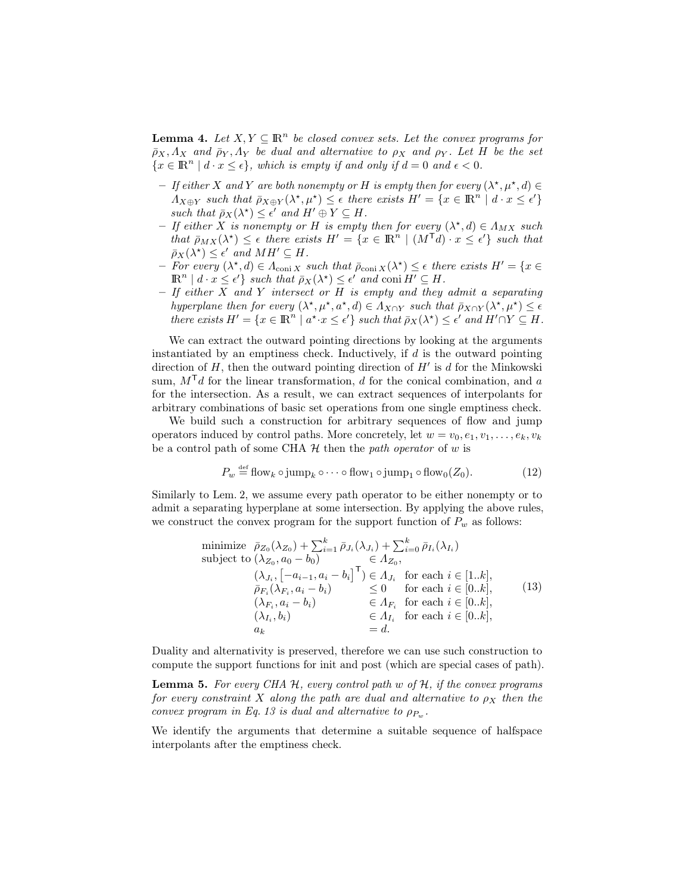**Lemma 4.** Let  $X, Y \subseteq \mathbb{R}^n$  be closed convex sets. Let the convex programs for  $\bar{\rho}_X, \Lambda_X$  and  $\bar{\rho}_Y, \Lambda_Y$  be dual and alternative to  $\rho_X$  and  $\rho_Y$ . Let H be the set  ${x \in \mathbb{R}^n \mid d \cdot x \leq \epsilon},$  which is empty if and only if  $d = 0$  and  $\epsilon < 0$ .

- $-$  If either X and Y are both nonempty or H is empty then for every  $(\lambda^*, \mu^*, d) \in$  $\Lambda_{X\oplus Y}$  such that  $\bar{\rho}_{X\oplus Y}(\lambda^*,\mu^*) \leq \epsilon$  there exists  $H' = \{x \in \mathbb{R}^n \mid d \cdot x \leq \epsilon'\}$ such that  $\bar{\rho}_X(\lambda^*) \leq \epsilon'$  and  $H' \oplus Y \subseteq H$ .
- If either X is nonempty or H is empty then for every  $(\lambda^*, d) \in \Lambda_{MX}$  such that  $\bar{p}_{MX}(\lambda^*) \leq \epsilon$  there exists  $H' = \{x \in \mathbb{R}^n \mid (M^{\mathsf{T}}d) \cdot x \leq \epsilon'\}$  such that  $\bar{\rho}_X(\lambda^*) \leq \epsilon'$  and  $MH' \subseteq H$ .
- For every  $(\lambda^*, d) \in \Lambda_{\text{coni} X}$  such that  $\bar{\rho}_{\text{coni} X}(\lambda^*) \leq \epsilon$  there exists  $H' = \{x \in$  $\mathbb{R}^n \mid d \cdot x \leq \epsilon'$  such that  $\bar{\rho}_X(\lambda^*) \leq \epsilon'$  and coni  $H' \subseteq H$ .
- $-$  If either X and Y intersect or H is empty and they admit a separating hyperplane then for every  $(\lambda^*, \mu^*, a^*, d) \in A_{X \cap Y}$  such that  $\bar{\rho}_{X \cap Y}(\lambda^*, \mu^*) \leq \epsilon$ there exists  $H' = \{x \in \mathbb{R}^n \mid a^* \cdot x \leq \epsilon'\}$  such that  $\bar{\rho}_X(\lambda^*) \leq \epsilon'$  and  $H' \cap Y \subseteq H$ .

We can extract the outward pointing directions by looking at the arguments instantiated by an emptiness check. Inductively, if  $d$  is the outward pointing direction of  $H$ , then the outward pointing direction of  $H'$  is  $d$  for the Minkowski sum,  $M^{\mathsf{T}}d$  for the linear transformation, d for the conical combination, and a for the intersection. As a result, we can extract sequences of interpolants for arbitrary combinations of basic set operations from one single emptiness check.

We build such a construction for arbitrary sequences of flow and jump operators induced by control paths. More concretely, let  $w = v_0, e_1, v_1, \ldots, e_k, v_k$ be a control path of some CHA  $H$  then the path operator of w is

$$
P_w \stackrel{\text{def}}{=} \text{flow}_k \circ \text{jump}_k \circ \cdots \circ \text{flow}_1 \circ \text{jump}_1 \circ \text{flow}_0(Z_0). \tag{12}
$$

Similarly to Lem. 2, we assume every path operator to be either nonempty or to admit a separating hyperplane at some intersection. By applying the above rules, we construct the convex program for the support function of  $P_w$  as follows:

minimize 
$$
\bar{\rho}_{Z_0}(\lambda_{Z_0}) + \sum_{i=1}^k \bar{\rho}_{J_i}(\lambda_{J_i}) + \sum_{i=0}^k \bar{\rho}_{I_i}(\lambda_{I_i})
$$
  
\nsubject to  $(\lambda_{Z_0}, a_0 - b_0) \in \Lambda_{Z_0}$ ,  
\n $(\lambda_{J_i}, [-a_{i-1}, a_i - b_i]^{\top}) \in \Lambda_{J_i}$  for each  $i \in [1..k]$ ,  
\n $\bar{\rho}_{F_i}(\lambda_{F_i}, a_i - b_i) \leq 0$  for each  $i \in [0..k]$ ,  
\n $(\lambda_{F_i}, a_i - b_i) \in \Lambda_{F_i}$  for each  $i \in [0..k]$ ,  
\n $(\lambda_{I_i}, b_i) \in \Lambda_{I_i}$  for each  $i \in [0..k]$ ,  
\n $a_k = d$ .

Duality and alternativity is preserved, therefore we can use such construction to compute the support functions for init and post (which are special cases of path).

**Lemma 5.** For every CHA  $H$ , every control path w of  $H$ , if the convex programs for every constraint X along the path are dual and alternative to  $\rho_X$  then the convex program in Eq. 13 is dual and alternative to  $\rho_{P_w}$ .

We identify the arguments that determine a suitable sequence of halfspace interpolants after the emptiness check.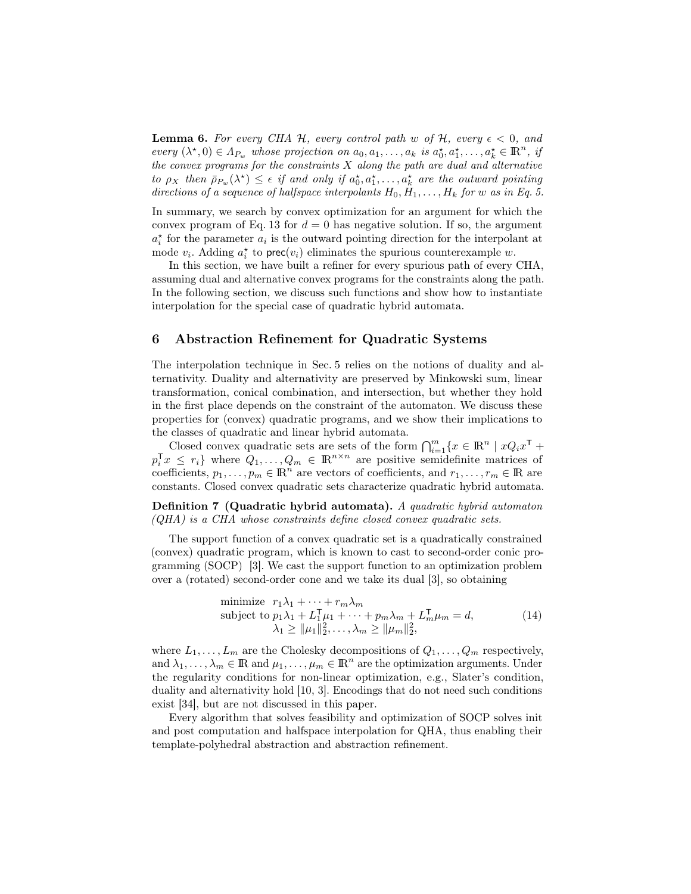**Lemma 6.** For every CHA H, every control path w of H, every  $\epsilon < 0$ , and every  $(\lambda^*, 0) \in \Lambda_{P_w}$  whose projection on  $a_0, a_1, \ldots, a_k$  is  $a_0^*, a_1^*, \ldots, a_k^* \in \mathbb{R}^n$ , if the convex programs for the constraints  $X$  along the path are dual and alternative to  $\rho_X$  then  $\bar{\rho}_{P_w}(\lambda^*) \leq \epsilon$  if and only if  $a_0^*, a_1^*, \ldots, a_k^*$  are the outward pointing directions of a sequence of halfspace interpolants  $H_0, \tilde{H}_1, \ldots, H_k$  for w as in Eq. 5.

In summary, we search by convex optimization for an argument for which the convex program of Eq. 13 for  $d = 0$  has negative solution. If so, the argument  $a_i^*$  for the parameter  $a_i$  is the outward pointing direction for the interpolant at mode  $v_i$ . Adding  $a_i^*$  to  $\mathsf{prec}(v_i)$  eliminates the spurious counterexample w.

In this section, we have built a refiner for every spurious path of every CHA, assuming dual and alternative convex programs for the constraints along the path. In the following section, we discuss such functions and show how to instantiate interpolation for the special case of quadratic hybrid automata.

### 6 Abstraction Refinement for Quadratic Systems

The interpolation technique in Sec. 5 relies on the notions of duality and alternativity. Duality and alternativity are preserved by Minkowski sum, linear transformation, conical combination, and intersection, but whether they hold in the first place depends on the constraint of the automaton. We discuss these properties for (convex) quadratic programs, and we show their implications to the classes of quadratic and linear hybrid automata.

Closed convex quadratic sets are sets of the form  $\bigcap_{i=1}^{m} \{x \in \mathbb{R}^n \mid xQ_ix^{\mathsf{T}} +$  $p_i^{\mathsf{T}} x \leq r_i$  where  $Q_1, \ldots, Q_m \in \mathbb{R}^{n \times n}$  are positive semidefinite matrices of coefficients,  $p_1, \ldots, p_m \in \mathbb{R}^n$  are vectors of coefficients, and  $r_1, \ldots, r_m \in \mathbb{R}$  are constants. Closed convex quadratic sets characterize quadratic hybrid automata.

Definition 7 (Quadratic hybrid automata). A quadratic hybrid automaton (QHA) is a CHA whose constraints define closed convex quadratic sets.

The support function of a convex quadratic set is a quadratically constrained (convex) quadratic program, which is known to cast to second-order conic programming (SOCP) [3]. We cast the support function to an optimization problem over a (rotated) second-order cone and we take its dual [3], so obtaining

minimize 
$$
r_1 \lambda_1 + \dots + r_m \lambda_m
$$
  
\nsubject to  $p_1 \lambda_1 + L_1^T \mu_1 + \dots + p_m \lambda_m + L_m^T \mu_m = d$ ,  
\n $\lambda_1 \ge ||\mu_1||_2^2, \dots, \lambda_m \ge ||\mu_m||_2^2$ , (14)

where  $L_1, \ldots, L_m$  are the Cholesky decompositions of  $Q_1, \ldots, Q_m$  respectively, and  $\lambda_1, \ldots, \lambda_m \in \mathbb{R}$  and  $\mu_1, \ldots, \mu_m \in \mathbb{R}^n$  are the optimization arguments. Under the regularity conditions for non-linear optimization, e.g., Slater's condition, duality and alternativity hold [10, 3]. Encodings that do not need such conditions exist [34], but are not discussed in this paper.

Every algorithm that solves feasibility and optimization of SOCP solves init and post computation and halfspace interpolation for QHA, thus enabling their template-polyhedral abstraction and abstraction refinement.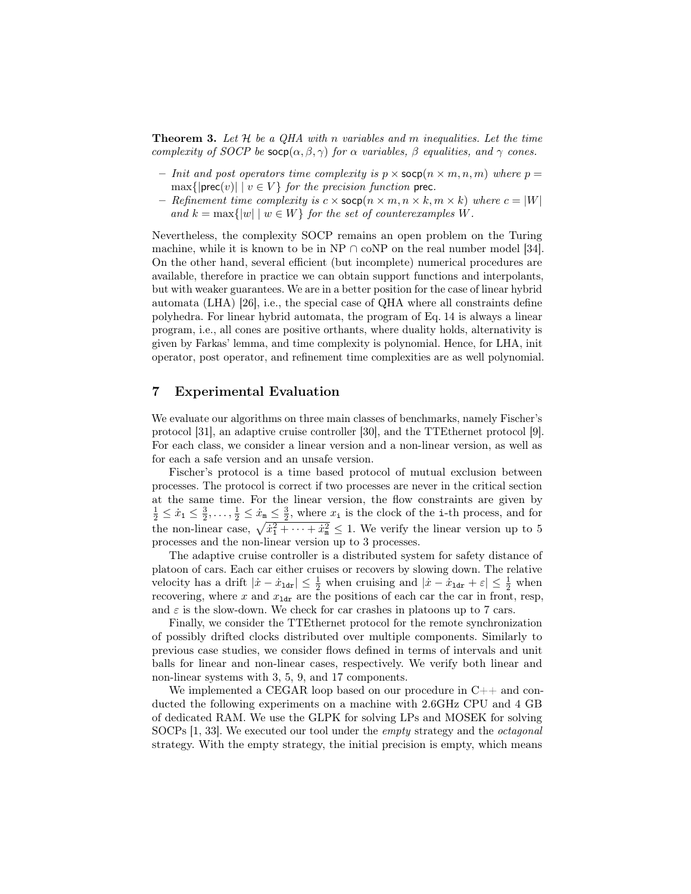**Theorem 3.** Let  $H$  be a QHA with n variables and m inequalities. Let the time complexity of SOCP be  $\mathsf{socp}(\alpha, \beta, \gamma)$  for  $\alpha$  variables,  $\beta$  equalities, and  $\gamma$  cones.

- Init and post operators time complexity is  $p \times \operatorname{soc}(n \times m, n, m)$  where  $p =$  $\max\{|\text{prec}(v)| \mid v \in V\}$  for the precision function prec.
- Refinement time complexity is  $c \times \mathsf{soc}(n \times m, n \times k, m \times k)$  where  $c = |W|$ and  $k = \max\{|w| \mid w \in W\}$  for the set of counterexamples W.

Nevertheless, the complexity SOCP remains an open problem on the Turing machine, while it is known to be in NP  $\cap$  coNP on the real number model [34]. On the other hand, several efficient (but incomplete) numerical procedures are available, therefore in practice we can obtain support functions and interpolants, but with weaker guarantees. We are in a better position for the case of linear hybrid automata (LHA) [26], i.e., the special case of QHA where all constraints define polyhedra. For linear hybrid automata, the program of Eq. 14 is always a linear program, i.e., all cones are positive orthants, where duality holds, alternativity is given by Farkas' lemma, and time complexity is polynomial. Hence, for LHA, init operator, post operator, and refinement time complexities are as well polynomial.

### 7 Experimental Evaluation

We evaluate our algorithms on three main classes of benchmarks, namely Fischer's protocol [31], an adaptive cruise controller [30], and the TTEthernet protocol [9]. For each class, we consider a linear version and a non-linear version, as well as for each a safe version and an unsafe version.

Fischer's protocol is a time based protocol of mutual exclusion between processes. The protocol is correct if two processes are never in the critical section at the same time. For the linear version, the flow constraints are given by  $\frac{1}{2} \leq \dot{x}_1 \leq \frac{3}{2}, \ldots, \frac{1}{2} \leq \dot{x}_{\mathfrak{m}} \leq \frac{3}{2}$ , where  $x_{\mathfrak{i}}$  is the clock of the **i**-th process, and for the non-linear case,  $\sqrt{\dot{x}_1^2 + \cdots + \dot{x}_m^2} \leq 1$ . We verify the linear version up to 5 processes and the non-linear version up to 3 processes.

The adaptive cruise controller is a distributed system for safety distance of platoon of cars. Each car either cruises or recovers by slowing down. The relative velocity has a drift  $|\dot{x} - \dot{x}_{1dr}| \leq \frac{1}{2}$  when cruising and  $|\dot{x} - \dot{x}_{1dr} + \varepsilon| \leq \frac{1}{2}$  when recovering, where x and  $x_{\text{1dr}}$  are the positions of each car the car in front, resp, and  $\varepsilon$  is the slow-down. We check for car crashes in platoons up to 7 cars.

Finally, we consider the TTEthernet protocol for the remote synchronization of possibly drifted clocks distributed over multiple components. Similarly to previous case studies, we consider flows defined in terms of intervals and unit balls for linear and non-linear cases, respectively. We verify both linear and non-linear systems with 3, 5, 9, and 17 components.

We implemented a CEGAR loop based on our procedure in  $C_{++}$  and conducted the following experiments on a machine with 2.6GHz CPU and 4 GB of dedicated RAM. We use the GLPK for solving LPs and MOSEK for solving SOCPs [1, 33]. We executed our tool under the empty strategy and the octagonal strategy. With the empty strategy, the initial precision is empty, which means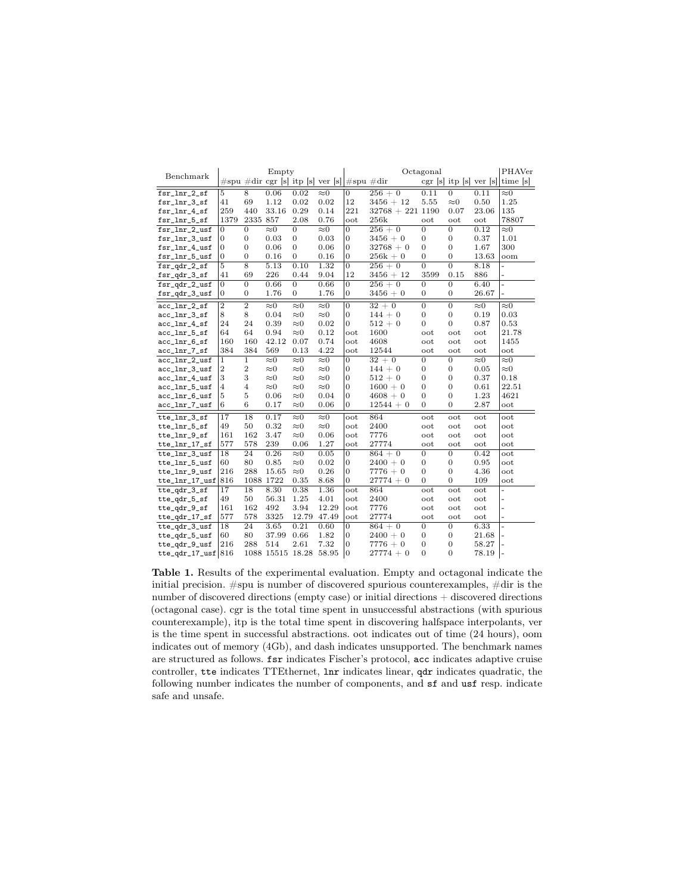| Benchmark          |                |                  | Empty                 |                       |                                                               |                |                      | Octagonal        |                               |                       | PHAVer                |
|--------------------|----------------|------------------|-----------------------|-----------------------|---------------------------------------------------------------|----------------|----------------------|------------------|-------------------------------|-----------------------|-----------------------|
|                    |                |                  |                       |                       | $\#$ spu $\#$ dir cgr [s] itp [s] ver [s]   $\#$ spu $\#$ dir |                |                      |                  | cgr $[s]$ itp $[s]$ ver $[s]$ |                       | time [s]              |
| $fsr_lnr_2_sf$     | $\overline{5}$ | $\overline{8}$   | 0.06                  | 0.02                  | $\overline{\approx}0$                                         | $\overline{0}$ | $\overline{256+0}$   | 0.11             | $\overline{0}$                | 0.11                  | $\overline{\approx}0$ |
| fsr_lnr_3_sf       | 41             | 69               | 1.12                  | 0.02                  | 0.02                                                          | 12             | $3456 + 12$          | 5.55             | $\approx 0$                   | 0.50                  | 1.25                  |
| $fsr_lnr_4_sf$     | 259            | 440              | 33.16                 | 0.29                  | 0.14                                                          | 221            | $32768 + 221$ 1190   |                  | 0.07                          | 23.06                 | 135                   |
| $fsr_lnr_5_sf$     | 1379           | 2335 857         |                       | 2.08                  | 0.76                                                          | $_{\rm oot}$   | 256k                 | $_{\rm oot}$     | oot                           | oot                   | 78807                 |
| fsr_lnr_2_usf      | $\overline{0}$ | $\overline{0}$   | $\overline{\approx}0$ | $\overline{0}$        | $\overline{\approx}0$                                         | 0              | $\overline{256+0}$   | $\overline{0}$   | $\overline{0}$                | 0.12                  | $\overline{\approx}0$ |
| fsr_lnr_3_usf      | 0              | $\boldsymbol{0}$ | 0.03                  | $\boldsymbol{0}$      | 0.03                                                          | $\mathbf{0}$   | $3456 + 0$           | $\mathbf{0}$     | $\boldsymbol{0}$              | 0.37                  | 1.01                  |
| fsr_lnr_4_usf      | $\mathbf{0}$   | $\boldsymbol{0}$ | 0.06                  | $\boldsymbol{0}$      | 0.06                                                          | $\mathbf{0}$   | $32768 + 0$          | $\mathbf{0}$     | $\boldsymbol{0}$              | 1.67                  | 300                   |
| fsr_lnr_5_usf      | $\mathbf{0}$   | $\boldsymbol{0}$ | 0.16                  | $\boldsymbol{0}$      | 0.16                                                          | $\mathbf{0}$   | $256k + 0$           | $\mathbf{0}$     | $\mathbf{0}$                  | 13.63                 | oom                   |
| $fsr_qdr_2_sf$     | $\overline{5}$ | $\overline{8}$   | 5.13                  | 0.10                  | 1.32                                                          | $\overline{0}$ | $\overline{256} + 0$ | $\overline{0}$   | $\overline{0}$                | 8.18                  |                       |
| $fsr_qdr_3_sf$     | 41             | 69               | 226                   | 0.44                  | 9.04                                                          | 12             | $3456 + 12$          | 3599             | 0.15                          | 886                   |                       |
| fsr_qdr_2_usf      | $\theta$       | $\overline{0}$   | 0.66                  | $\overline{0}$        | 0.66                                                          | $\overline{0}$ | $256 + 0$            | $\overline{0}$   | $\overline{0}$                | 6.40                  |                       |
| fsr_qdr_3_usf      | $\mathbf{0}$   | $\mathbf{0}$     | 1.76                  | $\overline{0}$        | 1.76                                                          | $\mathbf{0}$   | $3456 + 0$           | $\mathbf{0}$     | $\boldsymbol{0}$              | 26.67                 |                       |
| $acc_lnr_2_sf$     | $\overline{2}$ | $\overline{2}$   | $\overline{\approx}0$ | $\overline{\approx}0$ | $\approx 0$                                                   | $\overline{0}$ | $32 + 0$             | $\overline{0}$   | $\overline{0}$                | $\overline{\approx}0$ | $\overline{\approx}0$ |
| $acc_lnr_3_sf$     | 8              | 8                | 0.04                  | $\approx 0$           | $\approx 0$                                                   | $\overline{0}$ | $144 + 0$            | $\boldsymbol{0}$ | $\mathbf{0}$                  | 0.19                  | 0.03                  |
| acc_lnr_4_sf       | 24             | 24               | 0.39                  | $\approx 0$           | 0.02                                                          | $\overline{0}$ | $512 + 0$            | $\overline{0}$   | $\overline{0}$                | 0.87                  | 0.53                  |
| acc_lnr_5_sf       | 64             | 64               | 0.94                  | $\approx 0$           | 0.12                                                          | $_{\rm oot}$   | 1600                 | $_{\rm oot}$     | oot                           | oot                   | 21.78                 |
| acc_lnr_6_sf       | 160            | 160              | 42.12                 | 0.07                  | 0.74                                                          | $_{\rm oot}$   | 4608                 | $_{\rm oot}$     | oot                           | oot                   | 1455                  |
| acc_lnr_7_sf       | 384            | 384              | 569                   | 0.13                  | 4.22                                                          | $_{\rm oot}$   | 12544                | $_{\rm oot}$     | oot                           | oot                   | $_{\rm oot}$          |
| acc_lnr_2_usf      | 1              | 1                | $\overline{\approx}0$ | $\approx 0$           | $\overline{\approx}0$                                         | $\overline{0}$ | $32 + 0$             | 0                | 0                             | $\approx 0$           | $\approx 0$           |
| acc_lnr_3_usf      | $\,2$          | $\overline{2}$   | $\approx 0$           | $\approx 0$           | $\approx 0$                                                   | $\overline{0}$ | $144 + 0$            | $\boldsymbol{0}$ | $\mathbf{0}$                  | 0.05                  | $\approx 0$           |
| acc_lnr_4_usf      | 3              | 3                | $\approx 0$           | $\approx 0$           | $\approx 0$                                                   | $\overline{0}$ | $512 + 0$            | $\overline{0}$   | $\boldsymbol{0}$              | 0.37                  | 0.18                  |
| acc_lnr_5_usf      | 4              | $\overline{4}$   | $\approx 0$           | $\approx 0$           | $\approx 0$                                                   | $\overline{0}$ | $1600 + 0$           | $\overline{0}$   | $\overline{0}$                | 0.61                  | 22.51                 |
| acc_lnr_6_usf      | 5              | $\overline{5}$   | 0.06                  | $\approx 0$           | 0.04                                                          | $\mathbf{0}$   | $4608 + 0$           | $\mathbf{0}$     | $\boldsymbol{0}$              | 1.23                  | 4621                  |
| acc_lnr_7_usf      | $\,6$          | 6                | 0.17                  | $\approx 0$           | 0.06                                                          | $\mathbf{0}$   | $12544 + 0$          | $\mathbf{0}$     | $\mathbf{0}$                  | 2.87                  | oot                   |
| tte_lnr_3_sf       | 17             | 18               | 0.17                  | $\approx 0$           | $\approx 0$                                                   | oot            | 864                  | oot              | oot                           | oot                   | $_{\rm oot}$          |
| tte_lnr_5_sf       | 49             | 50               | 0.32                  | $\approx 0$           | $\approx 0$                                                   | $_{\rm oot}$   | 2400                 | oot              | oot                           | oot                   | oot                   |
| tte_lnr_9_sf       | 161            | 162              | 3.47                  | $\approx 0$           | 0.06                                                          | $_{\rm oot}$   | 7776                 | $_{\rm oot}$     | oot                           | oot                   | $_{\rm oot}$          |
| tte_lnr_17_sf      | 577            | 578              | 239                   | 0.06                  | 1.27                                                          | $_{\rm oot}$   | 27774                | $_{\rm oot}$     | $_{\rm oot}$                  | oot                   | $_{\rm oot}$          |
| tte_lnr_3_usf      | 18             | $\overline{24}$  | 0.26                  | $\approx 0$           | 0.05                                                          | $\overline{0}$ | $\sqrt{864} + 0$     | $\overline{0}$   | $\overline{0}$                | 0.42                  | oot                   |
| tte_lnr_5_usf      | 60             | 80               | 0.85                  | $\approx 0$           | 0.02                                                          | $\overline{0}$ | $2400 + 0$           | $\overline{0}$   | $\boldsymbol{0}$              | 0.95                  | oot                   |
| tte_lnr_9_usf      | 216            | 288              | 15.65                 | $\approx 0$           | 0.26                                                          | $\overline{0}$ | $7776 + 0$           | $\overline{0}$   | $\overline{0}$                | 4.36                  | oot                   |
| $tte_lnr_17_ust$   | 816            | 1088 1722        |                       | 0.35                  | 8.68                                                          | $\overline{0}$ | $27774 + 0$          | $\theta$         | $\overline{0}$                | 109                   | oot                   |
| tte_qdr_3_sf       | 17             | 18               | 8.30                  | 0.38                  | 1.36                                                          | oot            | 864                  | $_{\rm oot}$     | oot                           | oot                   |                       |
| tte_qdr_5_sf       | 49             | 50               | 56.31                 | 1.25                  | 4.01                                                          | oot            | 2400                 | $_{\rm oot}$     | oot                           | oot                   |                       |
| tte_qdr_9_sf       | 161            | 162              | 492                   | 3.94                  | 12.29                                                         | oot            | 7776                 | oot              | oot                           | oot                   |                       |
| tte_qdr_17_sf      | 577            | 578              | 3325                  | 12.79                 | 47.49                                                         | oot            | 27774                | oot              | $_{\rm oot}$                  | oot                   |                       |
| tte_qdr_3_usf      | 18             | 24               | 3.65                  | 0.21                  | 0.60                                                          | $\overline{0}$ | $864 + 0$            | $\overline{0}$   | $\overline{0}$                | 6.33                  |                       |
| tte_qdr_5_usf      | 60             | 80               | 37.99                 | 0.66                  | 1.82                                                          | $\overline{0}$ | $2400 + 0$           | $\mathbf{0}$     | $\boldsymbol{0}$              | 21.68                 |                       |
| tte_qdr_9_usf      | 216            | 288              | 514                   | 2.61                  | 7.32                                                          | $\overline{0}$ | $7776 + 0$           | 0                | $\mathbf{0}$                  | 58.27                 |                       |
| tte_qdr_17_usf 816 |                |                  | 1088 15515 18.28      |                       | 58.95                                                         | $\overline{0}$ | $27774 + 0$          | $\overline{0}$   | $\overline{0}$                | 78.19                 |                       |

Table 1. Results of the experimental evaluation. Empty and octagonal indicate the initial precision. #spu is number of discovered spurious counterexamples, #dir is the number of discovered directions (empty case) or initial directions + discovered directions (octagonal case). cgr is the total time spent in unsuccessful abstractions (with spurious counterexample), itp is the total time spent in discovering halfspace interpolants, ver is the time spent in successful abstractions. oot indicates out of time (24 hours), oom indicates out of memory (4Gb), and dash indicates unsupported. The benchmark names are structured as follows. fsr indicates Fischer's protocol, acc indicates adaptive cruise controller, tte indicates TTEthernet, lnr indicates linear, qdr indicates quadratic, the following number indicates the number of components, and sf and usf resp. indicate safe and unsafe.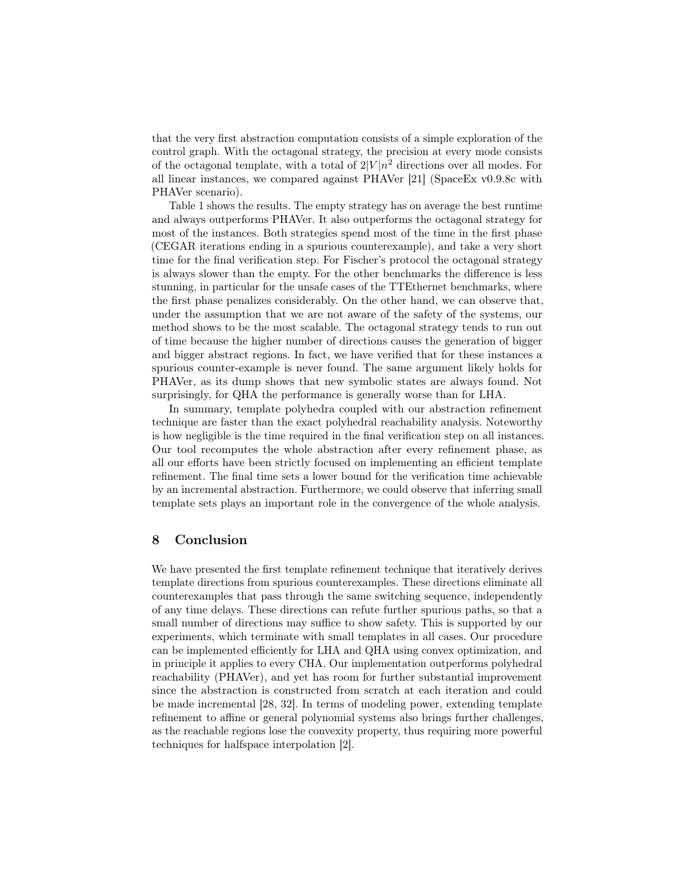that the very first abstraction computation consists of a simple exploration of the control graph. With the octagonal strategy, the precision at every mode consists of the octagonal template, with a total of  $2|V|n^2$  directions over all modes. For all linear instances, we compared against PHAVer [21] (SpaceEx v0.9.8c with PHAVer scenario).

Table 1 shows the results. The empty strategy has on average the best runtime and always outperforms PHAVer. It also outperforms the octagonal strategy for most of the instances. Both strategies spend most of the time in the first phase (CEGAR iterations ending in a spurious counterexample), and take a very short time for the final verification step. For Fischer's protocol the octagonal strategy is always slower than the empty. For the other benchmarks the difference is less stunning, in particular for the unsafe cases of the TTEthernet benchmarks, where the first phase penalizes considerably. On the other hand, we can observe that, under the assumption that we are not aware of the safety of the systems, our method shows to be the most scalable. The octagonal strategy tends to run out of time because the higher number of directions causes the generation of bigger and bigger abstract regions. In fact, we have verified that for these instances a spurious counter-example is never found. The same argument likely holds for PHAVer, as its dump shows that new symbolic states are always found. Not surprisingly, for QHA the performance is generally worse than for LHA.

In summary, template polyhedra coupled with our abstraction refinement technique are faster than the exact polyhedral reachability analysis. Noteworthy is how negligible is the time required in the final verification step on all instances. Our tool recomputes the whole abstraction after every refinement phase, as all our efforts have been strictly focused on implementing an efficient template refinement. The final time sets a lower bound for the verification time achievable by an incremental abstraction. Furthermore, we could observe that inferring small template sets plays an important role in the convergence of the whole analysis.

#### 8 Conclusion

We have presented the first template refinement technique that iteratively derives template directions from spurious counterexamples. These directions eliminate all counterexamples that pass through the same switching sequence, independently of any time delays. These directions can refute further spurious paths, so that a small number of directions may suffice to show safety. This is supported by our experiments, which terminate with small templates in all cases. Our procedure can be implemented efficiently for LHA and QHA using convex optimization, and in principle it applies to every CHA. Our implementation outperforms polyhedral reachability (PHAVer), and yet has room for further substantial improvement since the abstraction is constructed from scratch at each iteration and could be made incremental [28, 32]. In terms of modeling power, extending template refinement to affine or general polynomial systems also brings further challenges, as the reachable regions lose the convexity property, thus requiring more powerful techniques for halfspace interpolation [2].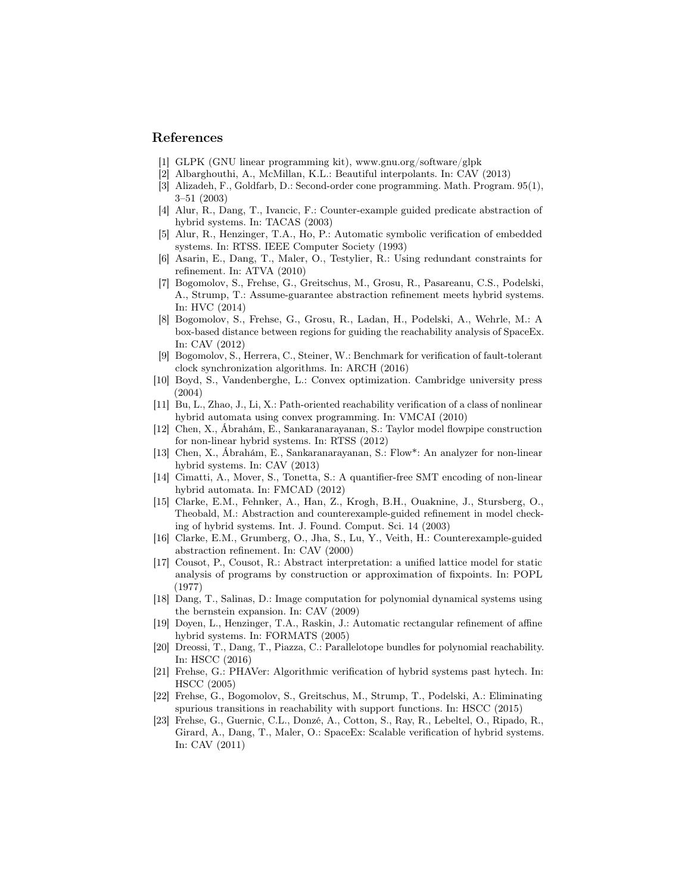### References

- [1] GLPK (GNU linear programming kit), www.gnu.org/software/glpk
- [2] Albarghouthi, A., McMillan, K.L.: Beautiful interpolants. In: CAV (2013)
- [3] Alizadeh, F., Goldfarb, D.: Second-order cone programming. Math. Program. 95(1), 3–51 (2003)
- [4] Alur, R., Dang, T., Ivancic, F.: Counter-example guided predicate abstraction of hybrid systems. In: TACAS (2003)
- [5] Alur, R., Henzinger, T.A., Ho, P.: Automatic symbolic verification of embedded systems. In: RTSS. IEEE Computer Society (1993)
- [6] Asarin, E., Dang, T., Maler, O., Testylier, R.: Using redundant constraints for refinement. In: ATVA (2010)
- [7] Bogomolov, S., Frehse, G., Greitschus, M., Grosu, R., Pasareanu, C.S., Podelski, A., Strump, T.: Assume-guarantee abstraction refinement meets hybrid systems. In: HVC (2014)
- [8] Bogomolov, S., Frehse, G., Grosu, R., Ladan, H., Podelski, A., Wehrle, M.: A box-based distance between regions for guiding the reachability analysis of SpaceEx. In: CAV (2012)
- [9] Bogomolov, S., Herrera, C., Steiner, W.: Benchmark for verification of fault-tolerant clock synchronization algorithms. In: ARCH (2016)
- [10] Boyd, S., Vandenberghe, L.: Convex optimization. Cambridge university press (2004)
- [11] Bu, L., Zhao, J., Li, X.: Path-oriented reachability verification of a class of nonlinear hybrid automata using convex programming. In: VMCAI (2010)
- [12] Chen, X., Ábrahám, E., Sankaranarayanan, S.: Taylor model flowpipe construction for non-linear hybrid systems. In: RTSS (2012)
- [13] Chen, X., Ábrahám, E., Sankaranarayanan, S.: Flow\*: An analyzer for non-linear hybrid systems. In: CAV (2013)
- [14] Cimatti, A., Mover, S., Tonetta, S.: A quantifier-free SMT encoding of non-linear hybrid automata. In: FMCAD (2012)
- [15] Clarke, E.M., Fehnker, A., Han, Z., Krogh, B.H., Ouaknine, J., Stursberg, O., Theobald, M.: Abstraction and counterexample-guided refinement in model checking of hybrid systems. Int. J. Found. Comput. Sci. 14 (2003)
- [16] Clarke, E.M., Grumberg, O., Jha, S., Lu, Y., Veith, H.: Counterexample-guided abstraction refinement. In: CAV (2000)
- [17] Cousot, P., Cousot, R.: Abstract interpretation: a unified lattice model for static analysis of programs by construction or approximation of fixpoints. In: POPL (1977)
- [18] Dang, T., Salinas, D.: Image computation for polynomial dynamical systems using the bernstein expansion. In: CAV (2009)
- [19] Doyen, L., Henzinger, T.A., Raskin, J.: Automatic rectangular refinement of affine hybrid systems. In: FORMATS (2005)
- [20] Dreossi, T., Dang, T., Piazza, C.: Parallelotope bundles for polynomial reachability. In: HSCC (2016)
- [21] Frehse, G.: PHAVer: Algorithmic verification of hybrid systems past hytech. In: HSCC (2005)
- [22] Frehse, G., Bogomolov, S., Greitschus, M., Strump, T., Podelski, A.: Eliminating spurious transitions in reachability with support functions. In: HSCC (2015)
- [23] Frehse, G., Guernic, C.L., Donzé, A., Cotton, S., Ray, R., Lebeltel, O., Ripado, R., Girard, A., Dang, T., Maler, O.: SpaceEx: Scalable verification of hybrid systems. In: CAV (2011)